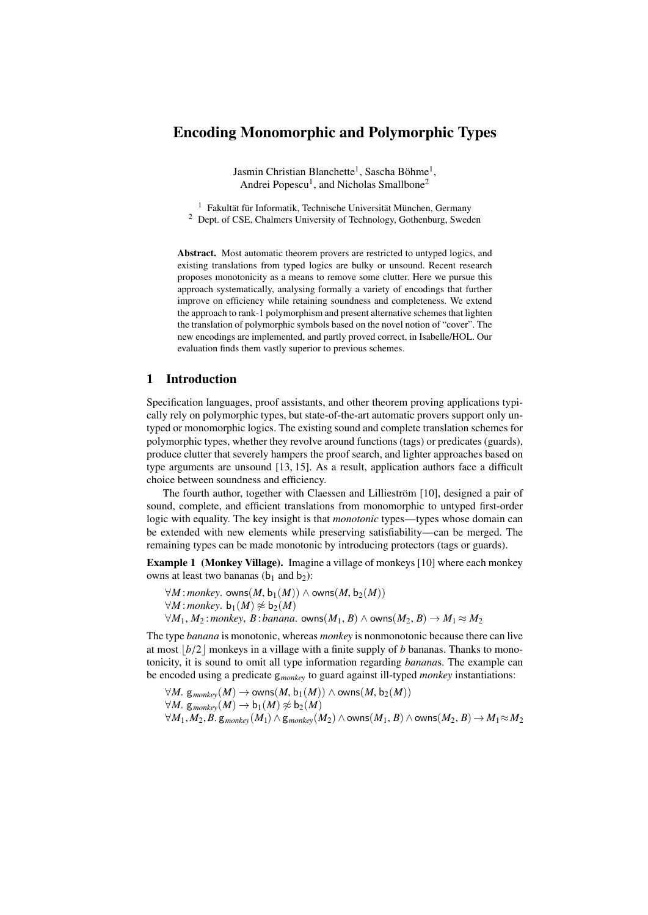# Encoding Monomorphic and Polymorphic Types

Jasmin Christian Blanchette<sup>1</sup>, Sascha Böhme<sup>1</sup>, Andrei Popescu<sup>1</sup>, and Nicholas Smallbone<sup>2</sup>

<sup>1</sup> Fakultät für Informatik, Technische Universität München, Germany <sup>2</sup> Dept. of CSE, Chalmers University of Technology, Gothenburg, Sweden

Abstract. Most automatic theorem provers are restricted to untyped logics, and existing translations from typed logics are bulky or unsound. Recent research proposes monotonicity as a means to remove some clutter. Here we pursue this approach systematically, analysing formally a variety of encodings that further improve on efficiency while retaining soundness and completeness. We extend the approach to rank-1 polymorphism and present alternative schemes that lighten the translation of polymorphic symbols based on the novel notion of "cover". The new encodings are implemented, and partly proved correct, in Isabelle/HOL. Our evaluation finds them vastly superior to previous schemes.

# 1 Introduction

Specification languages, proof assistants, and other theorem proving applications typically rely on polymorphic types, but state-of-the-art automatic provers support only untyped or monomorphic logics. The existing sound and complete translation schemes for polymorphic types, whether they revolve around functions (tags) or predicates (guards), produce clutter that severely hampers the proof search, and lighter approaches based on type arguments are unsound [\[13,](#page-14-0) [15\]](#page-14-1). As a result, application authors face a difficult choice between soundness and efficiency.

The fourth author, together with Claessen and Lillieström [\[10\]](#page-14-2), designed a pair of sound, complete, and efficient translations from monomorphic to untyped first-order logic with equality. The key insight is that *monotonic* types—types whose domain can be extended with new elements while preserving satisfiability—can be merged. The remaining types can be made monotonic by introducing protectors (tags or guards).

<span id="page-0-0"></span>Example 1 (Monkey Village). Imagine a village of monkeys [\[10\]](#page-14-2) where each monkey owns at least two bananas ( $b_1$  and  $b_2$ ):

 $\forall M$ :*monkey*. owns(*M*, b<sub>1</sub>(*M*)) ∧ owns(*M*, b<sub>2</sub>(*M*))  $∀M:monkey. b_1(M) ≉ b_2(M)$ 

 $\forall M_1, M_2$ : *monkey*, *B*: *banana*. owns( $M_1, B$ ) ∧ owns( $M_2, B$ ) →  $M_1 \approx M_2$ 

The type *banana* is monotonic, whereas *monkey* is nonmonotonic because there can live at most  $\lfloor b/2 \rfloor$  monkeys in a village with a finite supply of *b* bananas. Thanks to monotonicity, it is sound to omit all type information regarding *banana*s. The example can be encoded using a predicate g*monkey* to guard against ill-typed *monkey* instantiations:

$$
\forall M. \ g_{monkey}(M) \rightarrow owns(M, b_1(M)) \land owns(M, b_2(M))
$$
  

$$
\forall M. \ g_{monkey}(M) \rightarrow b_1(M) \nless b_2(M)
$$
  

$$
\forall M_1, M_2, B. \ g_{monkey}(M_1) \land g_{monkey}(M_2) \land owns(M_1, B) \land owns(M_2, B) \rightarrow M_1 \approx M_2
$$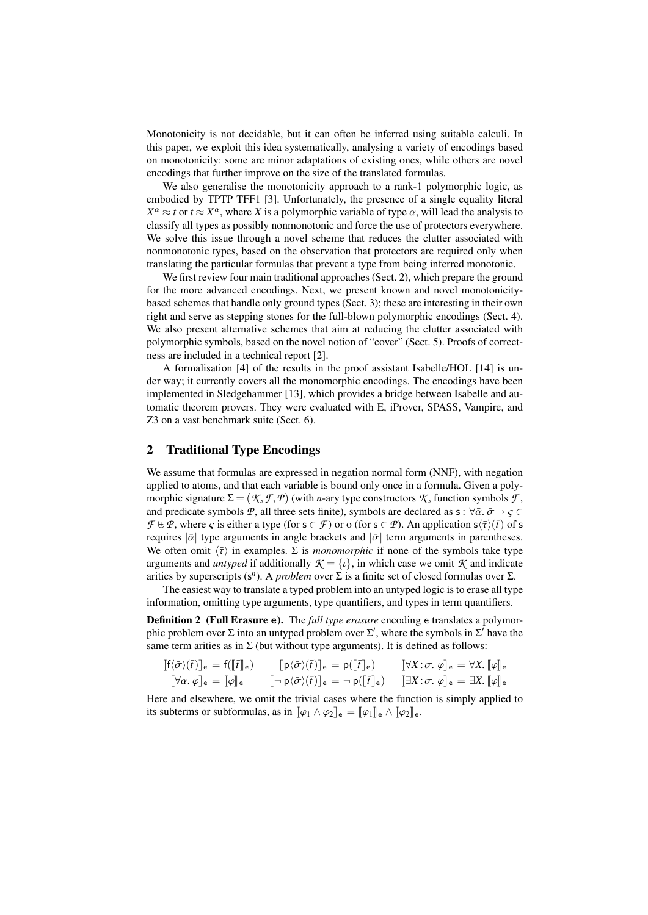Monotonicity is not decidable, but it can often be inferred using suitable calculi. In this paper, we exploit this idea systematically, analysing a variety of encodings based on monotonicity: some are minor adaptations of existing ones, while others are novel encodings that further improve on the size of the translated formulas.

We also generalise the monotonicity approach to a rank-1 polymorphic logic, as embodied by TPTP TFF1 [\[3\]](#page-14-3). Unfortunately, the presence of a single equality literal  $X^{\alpha} \approx t$  or  $t \approx X^{\alpha}$ , where *X* is a polymorphic variable of type  $\alpha$ , will lead the analysis to classify all types as possibly nonmonotonic and force the use of protectors everywhere classify all types as possibly nonmonotonic and force the use of protectors everywhere. We solve this issue through a novel scheme that reduces the clutter associated with nonmonotonic types, based on the observation that protectors are required only when translating the particular formulas that prevent a type from being inferred monotonic.

We first review four main traditional approaches (Sect. [2\)](#page-1-0), which prepare the ground for the more advanced encodings. Next, we present known and novel monotonicitybased schemes that handle only ground types (Sect. [3\)](#page-4-0); these are interesting in their own right and serve as stepping stones for the full-blown polymorphic encodings (Sect. [4\)](#page-8-0). We also present alternative schemes that aim at reducing the clutter associated with polymorphic symbols, based on the novel notion of "cover" (Sect. [5\)](#page-10-0). Proofs of correctness are included in a technical report [\[2\]](#page-14-4).

A formalisation [\[4\]](#page-14-5) of the results in the proof assistant Isabelle/HOL [\[14\]](#page-14-6) is under way; it currently covers all the monomorphic encodings. The encodings have been implemented in Sledgehammer [\[13\]](#page-14-0), which provides a bridge between Isabelle and automatic theorem provers. They were evaluated with E, iProver, SPASS, Vampire, and Z3 on a vast benchmark suite (Sect. [6\)](#page-12-0).

# <span id="page-1-0"></span>2 Traditional Type Encodings

We assume that formulas are expressed in negation normal form (NNF), with negation applied to atoms, and that each variable is bound only once in a formula. Given a polymorphic signature  $\Sigma = (\mathcal{K}, \mathcal{F}, \mathcal{P})$  (with *n*-ary type constructors  $\mathcal{K}$ , function symbols  $\mathcal{F}$ , and predicate symbols *P*, all three sets finite), symbols are declared as s :  $\forall \bar{\alpha} \cdot \bar{\sigma} \rightarrow \varsigma \in$  $\mathcal{F} \oplus \mathcal{P}$ , where  $\varsigma$  is either a type (for  $s \in \mathcal{F}$ ) or o (for  $s \in \mathcal{P}$ ). An application  $s \langle \overline{\tau} \rangle$  ( $\overline{t}$ ) of s requires  $|\bar{a}|$  type arguments in angle brackets and  $|\bar{\sigma}|$  term arguments in parentheses. We often omit  $\langle \bar{\tau} \rangle$  in examples.  $\Sigma$  is *monomorphic* if none of the symbols take type arguments and *untyped* if additionally  $K = \{v\}$ , in which case we omit *K* and indicate arities by superscripts (s<sup>n</sup>). A *problem* over Σ is a finite set of closed formulas over Σ.

The easiest way to translate a typed problem into an untyped logic is to erase all type information, omitting type arguments, type quantifiers, and types in term quantifiers.

Definition 2 (Full Erasure e). The *full type erasure* encoding e translates a polymorphic problem over  $\Sigma$  into an untyped problem over  $\Sigma'$ , where the symbols in  $\Sigma'$  have the same term arities as in  $\Sigma$  (but without type arguments). It is defined as follows:

| $[\![f\langle \bar{\sigma}\rangle(\bar{t})]\!]_e = f([\![\bar{t}]\!]_e)$      | $[\![p\langle \bar{\sigma}\rangle(\bar{t})]\!]_{\mathsf{e}} = p([\![\bar{t}]\!]_{\mathsf{e}})$                                                                                                        | $[\![\forall X:\sigma\!\cdot\varphi]\!]_e = \forall X\!\!\cdot\![\varphi]\!]_e$ |
|-------------------------------------------------------------------------------|-------------------------------------------------------------------------------------------------------------------------------------------------------------------------------------------------------|---------------------------------------------------------------------------------|
| $[\![\forall \alpha, \varphi]\!]_{\mathsf{e}} = [\![\varphi]\!]_{\mathsf{e}}$ | $[\lceil \neg p \langle \bar{\sigma} \rangle(\bar{t}) \rceil]_e = \neg p([\lceil \bar{t} \rceil]_e) \quad [\lceil \exists X : \sigma, \varphi \rceil]_e = \exists X \cdotp [\lceil \varphi \rceil]_e$ |                                                                                 |

Here and elsewhere, we omit the trivial cases where the function is simply applied to its subterms or subformulas, as in  $\llbracket \varphi_1 \wedge \varphi_2 \rrbracket_e = \llbracket \varphi_1 \rrbracket_e \wedge \llbracket \varphi_2 \rrbracket_e$ .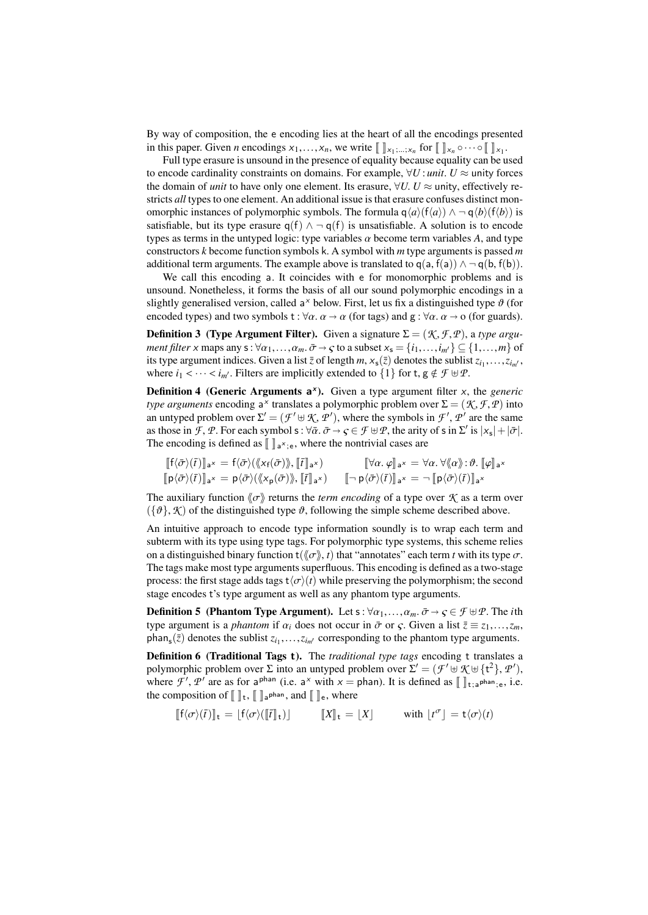By way of composition, the e encoding lies at the heart of all the encodings presented in this paper. Given *n* encodings  $x_1, \ldots, x_n$ , we write  $\llbracket \ \ \rbrack_{x_1; \ldots, x_n}$  for  $\llbracket \ \ \rbrack_{x_n} \circ \cdots \circ \llbracket \ \ \rbrack_{x_1}$ .

Full type erasure is unsound in the presence of equality because equality can be used to encode cardinality constraints on domains. For example,  $\forall U$ : *unit*.  $U \approx$  unity forces the domain of *unit* to have only one element. Its erasure,  $\forall U$ . *U*  $\approx$  unity, effectively restricts *all* types to one element. An additional issue is that erasure confuses distinct monomorphic instances of polymorphic symbols. The formula  $q\langle a \rangle(f\langle a \rangle) \wedge \neg q\langle b \rangle(f\langle b \rangle)$  is satisfiable, but its type erasure  $q(f) \wedge \neg q(f)$  is unsatisfiable. A solution is to encode types as terms in the untyped logic: type variables  $\alpha$  become term variables A, and type constructors *k* become function symbols k. A symbol with *m* type arguments is passed *m* additional term arguments. The example above is translated to  $q(a, f(a)) \wedge \neg q(b, f(b))$ .

We call this encoding a. It coincides with e for monomorphic problems and is unsound. Nonetheless, it forms the basis of all our sound polymorphic encodings in a slightly generalised version, called a<sup>x</sup> below. First, let us fix a distinguished type  $\vartheta$  (for encoded types) and two symbols  $\pm \frac{1}{2} \varphi$ ,  $\alpha \rightarrow \alpha$  (for tags) and  $\pi : \forall \alpha$ ,  $\alpha \rightarrow \alpha$  (for guards). encoded types) and two symbols  $t : \forall \alpha \ldotp \alpha \rightarrow \alpha$  (for tags) and  $g : \forall \alpha \ldotp \alpha \rightarrow o$  (for guards).

**Definition 3** (Type Argument Filter). Given a signature  $\Sigma = (\mathcal{K}, \mathcal{F}, \mathcal{P})$ , a type argu*ment filter* x maps any  $s: \forall \alpha_1, \ldots, \alpha_m$ .  $\bar{\sigma} \to \varsigma$  to a subset  $x_s = \{i_1, \ldots, i_{m'}\} \subseteq \{1, \ldots, m\}$  of its type argument indices. Given a list  $\overline{z}$  of length *m*,  $x_s(\overline{z})$  denotes the sublist  $z_{i_1}, \ldots, z_{i_m}$ , where  $i_s \leq \ldots \leq i_{s'}$ . Filters are implicitly extended to  $\overline{z}$  of  $\overline{z}$ ,  $\overline{z}$ ,  $\overline{z}$ ,  $\overline{$ where  $i_1 < \cdots < i_{m'}$ . Filters are implicitly extended to  $\{1\}$  for t,  $g \notin \mathcal{F} \uplus \mathcal{P}$ .

Definition 4 (Generic Arguments a<sup>x</sup>). Given a type argument filter x, the *generic type arguments* encoding a<sup>x</sup> translates a polymorphic problem over  $\Sigma = (\mathcal{K}, \mathcal{F}, \mathcal{P})$  into an untyped problem over  $\Sigma' = (\mathcal{F}' + \mathcal{K}' - \mathcal{P}')$  where the symbols in  $\mathcal{F}' - \mathcal{P}'$  are the same an untyped problem over  $\Sigma' = (\mathcal{F}' \oplus \mathcal{K}, \mathcal{P}')$ , where the symbols in  $\mathcal{F}', \mathcal{P}'$  are the same<br>as those in  $\mathcal{F} \oplus \mathcal{P}$  for each symbols  $\cdot \forall \overline{\alpha} \rightarrow \overline{c} \in \mathcal{F} \oplus \mathcal{P}$  the arity of s in  $\Sigma'$  is  $|\overline{x}| +$ as those in *F*, *P*. For each symbol s :  $\forall \bar{\alpha} \cdot \bar{\sigma} \rightarrow \varsigma \in \mathcal{F} \oplus \mathcal{P}$ , the arity of s in  $\Sigma'$  is  $|x_s| + |\bar{\sigma}|$ .<br>The encoding is defined as  $\mathbb{I} \mathbb{I} \times$  where the nontrivial cases are The encoding is defined as  $\llbracket \; \rrbracket_{a^x; e}$ , where the nontrivial cases are

$$
\begin{aligned}\n\llbracket f \langle \bar{\sigma} \rangle(\bar{t}) \rrbracket_{a^x} &= f \langle \bar{\sigma} \rangle(\langle \! \langle x_f(\bar{\sigma}) \rangle \! \rangle, \llbracket \bar{t} \rrbracket_{a^x}) &\llbracket \forall \alpha. \varphi \rrbracket_{a^x} = \forall \alpha. \forall \langle \alpha \rangle : \vartheta. \llbracket \varphi \rrbracket_{a^x} \\
\llbracket p \langle \bar{\sigma} \rangle(\bar{t}) \rrbracket_{a^x} &= p \langle \bar{\sigma} \rangle(\langle \! \langle x_p(\bar{\sigma}) \rangle \! \rangle, \llbracket \bar{t} \rrbracket_{a^x}) &\llbracket \neg p \langle \bar{\sigma} \rangle(\bar{t}) \rrbracket_{a^x} = \neg \llbracket p \langle \bar{\sigma} \rangle(\bar{t}) \rrbracket_{a^x}\n\end{aligned}
$$

The auxiliary function  $\langle \sigma \rangle$  returns the *term encoding* of a type over *K* as a term over  $({\{\vartheta\}}, \mathcal{K})$  of the distinguished type  $\vartheta$ , following the simple scheme described above.

An intuitive approach to encode type information soundly is to wrap each term and subterm with its type using type tags. For polymorphic type systems, this scheme relies on a distinguished binary function  $t(\langle \sigma \rangle, t)$  that "annotates" each term *t* with its type  $\sigma$ . The tags make most type arguments superfluous. This encoding is defined as a two-stage process: the first stage adds tags  $t\langle\sigma\rangle(t)$  while preserving the polymorphism; the second stage encodes t's type argument as well as any phantom type arguments.

**Definition 5** (Phantom Type Argument). Let  $s : \forall \alpha_1, ..., \alpha_m$ .  $\bar{\sigma} \rightarrow \varsigma \in \mathcal{F} \oplus \mathcal{P}$ . The *i*th type argument is a *phantom* if  $\alpha_i$  does not occur in  $\bar{\sigma}$  or  $\varsigma$ . Given a list  $\bar{z} \equiv z_1, \ldots, z_m$ ,  $\mathsf{phan_s}(\bar{z})$  denotes the sublist  $z_{i_1}, \ldots, z_{i_m}$  corresponding to the phantom type arguments.

Definition 6 (Traditional Tags t). The *traditional type tags* encoding t translates a polymorphic problem over  $\Sigma$  into an untyped problem over  $\Sigma' = (\mathcal{F}' \oplus \mathcal{K} \oplus \{t^2\}, \mathcal{P}')$ ,<br>where  $\mathcal{F}'$ ,  $\mathcal{P}'$  are as for a<sup>phan</sup> (i.e., a<sup>x</sup> with  $x$  – phan). It is defined as  $\mathbb{R}$ , then i.e. where  $\mathcal{F}', \mathcal{P}'$  are as for a <sup>phan</sup> (i.e. a<sup>x</sup> with  $x =$  phan). It is defined as  $[\]$ <sub>t;a</sub> phan<sub>;e</sub>, i.e. the composition of  $[\![\;]\!]_t$ ,  $[\![\;]\!]_a$ <sub>phan</sub>, and  $[\![\;]\!]_e$ , where

$$
[[f\langle\sigma\rangle(\bar{t})]]_{t} = [f\langle\sigma\rangle([\bar{t}]]_{t})] \qquad [[X]]_{t} = [X] \qquad \text{with } [t^{\sigma}] = t\langle\sigma\rangle(t)
$$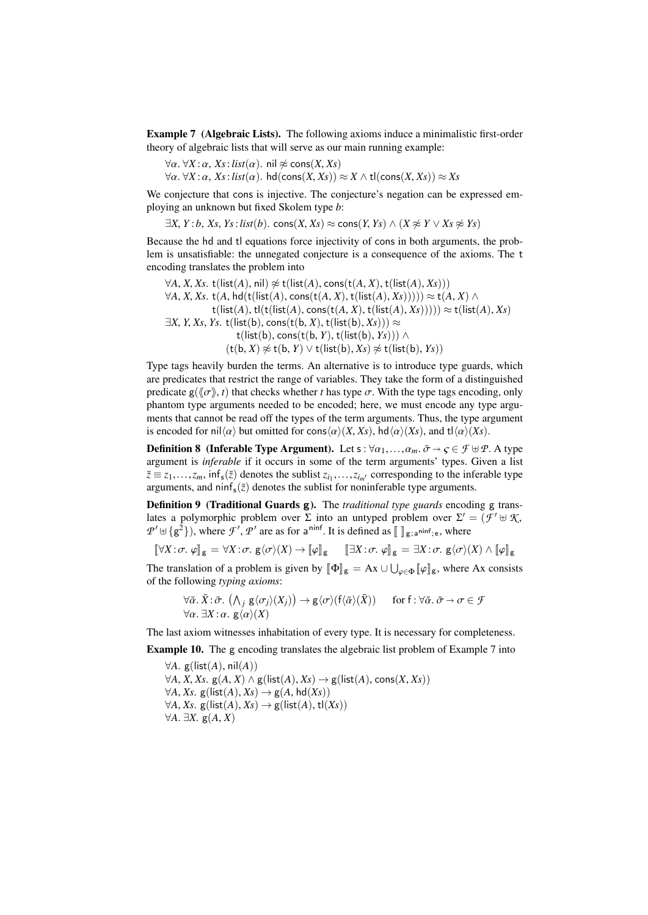<span id="page-3-0"></span>Example 7 (Algebraic Lists). The following axioms induce a minimalistic first-order theory of algebraic lists that will serve as our main running example:

 $\forall \alpha$ .  $\forall X : \alpha$ , *Xs*:*list*( $\alpha$ ). nil  $\not\approx$  cons(*X*, *Xs*)

 $\forall \alpha$ .  $\forall X : \alpha$ ,  $X_s$ : *list*( $\alpha$ ). hd(cons(*X*,  $X_s$ ))  $\approx$  *X*  $\land$  tl(cons(*X*,  $X_s$ ))  $\approx$  *Xs* 

We conjecture that cons is injective. The conjecture's negation can be expressed employing an unknown but fixed Skolem type *b*:

 $∃X, Y : b, Xs, Ys : list(b).$  cons $(X, Xs) ≈ const(Y, Ys) ∧ (X ≉ Y ∨ Xs ≉ Ys)$ 

Because the hd and tl equations force injectivity of cons in both arguments, the problem is unsatisfiable: the unnegated conjecture is a consequence of the axioms. The t encoding translates the problem into

 $∀A, X, Xs, t(list(A), nil) ≈ t(list(A), const(t(A, X), t(list(A), Xs)))$  $\forall A, X, Xs$ . t(*A*, hd(t(list(*A*), cons(t(*A*, *X*), t(list(*A*), *Xs*))))) ≈ t(*A*, *X*) ∧  $t(list(A), t(l(t(list(A), cons(t(A, X), t(list(A), Xs)))) \approx t(list(A), Xs)$  $\exists X, Y, X_s, Y_s$ . t(list(b), cons(t(b, X), t(list(b), Xs)))  $\approx$  $t(list(b), cons(t(b, Y), t(list(b), Ys))) \wedge$  $(t(b, X) \not\approx t(b, Y) \vee t(list(b), Xs) \not\approx t(list(b), Ys))$ 

Type tags heavily burden the terms. An alternative is to introduce type guards, which are predicates that restrict the range of variables. They take the form of a distinguished predicate  $g(\langle \sigma \rangle, t)$  that checks whether *t* has type  $\sigma$ . With the type tags encoding, only phantom type arguments needed to be encoded; here, we must encode any type arguments that cannot be read off the types of the term arguments. Thus, the type argument is encoded for nil $\langle \alpha \rangle$  but omitted for cons $\langle \alpha \rangle(X, X_s)$ , hd $\langle \alpha \rangle(Xs)$ , and tl $\langle \alpha \rangle(Xs)$ .

<span id="page-3-1"></span>**Definition 8** (Inferable Type Argument). Let s :  $\forall \alpha_1, \ldots, \alpha_m$ .  $\bar{\sigma} \rightarrow \varsigma \in \mathcal{F} \oplus \mathcal{P}$ . A type argument is *inferable* if it occurs in some of the term arguments' types. Given a list  $\bar{z} \equiv z_1, \ldots, z_m$ ,  $\inf_s(\bar{z})$  denotes the sublist  $z_{i_1}, \ldots, z_{i_m}$  corresponding to the inferable type arguments and ninf ( $\bar{z}$ ) denotes the sublist for noninferable type arguments arguments, and ninf<sub>s</sub> $(\bar{z})$  denotes the sublist for noninferable type arguments.

Definition 9 (Traditional Guards g). The *traditional type guards* encoding g translates a polymorphic problem over  $\Sigma$  into an untyped problem over  $\Sigma' = (\mathcal{F}' \oplus \mathcal{K}, \mathcal{P}' \oplus \mathcal{I} \otimes \mathcal{F}')$  where  $\mathcal{F}'$   $\mathcal{P}'$  are as for a pinf. It is defined as  $\mathbb{F} \mathbb{F}$  is where  $T' \oplus \{g^2\}$ , where  $\mathcal{F}'$ ,  $\mathcal{P}'$  are as for a <sup>ninf</sup>. It is defined as  $[\![\ ]_{g;\,a}$ <sup>ninf</sup>; e, where

 $[\![\forall X:\sigma,\varphi]\!]_g = \forall X:\sigma, g\langle\sigma\rangle(X) \rightarrow [\![\varphi]\!]_g$   $[\![\exists X:\sigma,\varphi]\!]_g = \exists X:\sigma, g\langle\sigma\rangle(X) \wedge [\![\varphi]\!]_g$ 

The translation of a problem is given by  $[\![\Phi]\!]_g = Ax \cup \bigcup_{\varphi \in \Phi} [\![\varphi]\!]_g$ , where Ax consists of the following *typing axioms*: of the following *typing axioms*:

$$
\forall \bar{\alpha}. \bar{X} : \bar{\sigma}. (\bigwedge_j g \langle \sigma_j \rangle(X_j)) \to g \langle \sigma \rangle(f \langle \bar{\alpha} \rangle(\bar{X})) \quad \text{for } f : \forall \bar{\alpha}. \bar{\sigma} \to \sigma \in \mathcal{F}
$$
  

$$
\forall \alpha. \exists X : \alpha. g \langle \alpha \rangle(X)
$$

The last axiom witnesses inhabitation of every type. It is necessary for completeness.

<span id="page-3-2"></span>Example 10. The g encoding translates the algebraic list problem of Example [7](#page-3-0) into

 $∀A. g(list(A), nil(A))$  $∀A, X, Xs. g(A, X) ∧ g(list(A), Xs) → g(list(A), cons(X, Xs))$  $∀A, Xs. g(list(A), Xs) → g(A, hd(Xs))$  $∀A, Xs. g(list(A), Xs) → g(list(A), tl(Xs))$ <sup>∀</sup>*A*. <sup>∃</sup>*X*. <sup>g</sup>(*A*, *<sup>X</sup>*)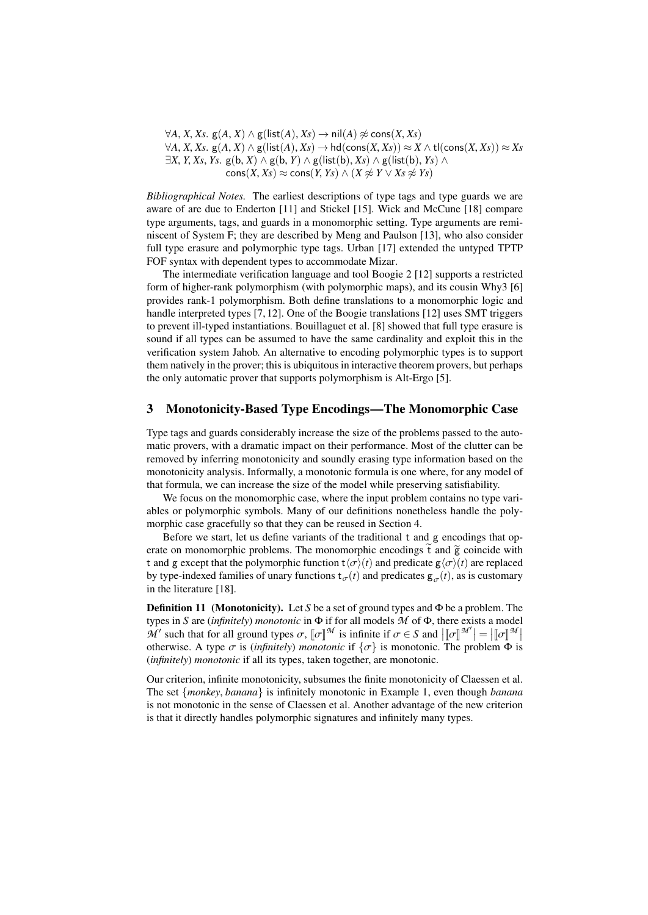$\forall A, X, Xs$ .  $g(A, X) \land g(\text{list}(A), Xs) \rightarrow \text{nil}(A) \not\approx \text{cons}(X, Xs)$  $\forall A, X, Xs.$  g(*A, X*) ∧ g(list(*A*), *Xs*)  $\rightarrow$  hd(cons(*X, Xs*)) ≈ *X* ∧ tl(cons(*X, Xs*)) ≈ *Xs* <sup>∃</sup>*X*, *<sup>Y</sup>*, *Xs*, *Ys*. <sup>g</sup>(b, *<sup>X</sup>*) <sup>∧</sup> <sup>g</sup>(b, *<sup>Y</sup>*) <sup>∧</sup> <sup>g</sup>(list(b), *Xs*) <sup>∧</sup> <sup>g</sup>(list(b), *Ys*) <sup>∧</sup>  $\text{cons}(X, Xs) \approx \text{cons}(Y, Ys) \land (X \not\approx Y \lor Xs \not\approx Ys)$ 

*Bibliographical Notes.* The earliest descriptions of type tags and type guards we are aware of are due to Enderton [\[11\]](#page-14-7) and Stickel [\[15\]](#page-14-1). Wick and McCune [\[18\]](#page-14-8) compare type arguments, tags, and guards in a monomorphic setting. Type arguments are reminiscent of System F; they are described by Meng and Paulson [\[13\]](#page-14-0), who also consider full type erasure and polymorphic type tags. Urban [\[17\]](#page-14-9) extended the untyped TPTP FOF syntax with dependent types to accommodate Mizar.

The intermediate verification language and tool Boogie 2 [\[12\]](#page-14-10) supports a restricted form of higher-rank polymorphism (with polymorphic maps), and its cousin Why3 [\[6\]](#page-14-11) provides rank-1 polymorphism. Both define translations to a monomorphic logic and handle interpreted types [\[7,](#page-14-12) [12\]](#page-14-10). One of the Boogie translations [\[12\]](#page-14-10) uses SMT triggers to prevent ill-typed instantiations. Bouillaguet et al. [\[8\]](#page-14-13) showed that full type erasure is sound if all types can be assumed to have the same cardinality and exploit this in the verification system Jahob. An alternative to encoding polymorphic types is to support them natively in the prover; this is ubiquitous in interactive theorem provers, but perhaps the only automatic prover that supports polymorphism is Alt-Ergo [\[5\]](#page-14-14).

## <span id="page-4-0"></span>3 Monotonicity-Based Type Encodings—The Monomorphic Case

Type tags and guards considerably increase the size of the problems passed to the automatic provers, with a dramatic impact on their performance. Most of the clutter can be removed by inferring monotonicity and soundly erasing type information based on the monotonicity analysis. Informally, a monotonic formula is one where, for any model of that formula, we can increase the size of the model while preserving satisfiability.

We focus on the monomorphic case, where the input problem contains no type variables or polymorphic symbols. Many of our definitions nonetheless handle the polymorphic case gracefully so that they can be reused in Section [4.](#page-8-0)

Before we start, let us define variants of the traditional t and g encodings that operate on monomorphic problems. The monomorphic encodings  $\tilde{t}$  and  $\tilde{g}$  coincide with t and g except that the polymorphic function  $t\langle\sigma\rangle(t)$  and predicate g $\langle\sigma\rangle(t)$  are replaced by type-indexed families of unary functions  $t_{\sigma}(t)$  and predicates  $g_{\sigma}(t)$ , as is customary in the literature [\[18\]](#page-14-8).

Definition 11 (Monotonicity). Let *S* be a set of ground types and Φ be a problem. The types in *S* are (*infinitely*) *monotonic* in Φ if for all models *M* of Φ, there exists a model  $\mathcal{M}'$  such that for all ground types  $\sigma$ ,  $[\![\sigma]\!]^{\mathcal{M}}$  is infinite if  $\sigma \in S$  and  $[\![\sigma]\!]^{\mathcal{M}'}] = [\![\sigma]\!]^{\mathcal{M}}$  and  $[\![\sigma]\!]^{\mathcal{M}'}$ *M* such that for an ground types *o*,  $\llbracket 0 \rrbracket$  is minime n *o* ∈ *S* and  $\llbracket 0 \rrbracket = \llbracket 0 \rrbracket$  and  $\llbracket 0 \rrbracket = \llbracket 0 \rrbracket$  is obterwise. A type *σ* is (*infinitely*) *monotonic* if  $\{\sigma\}$  is monotonic. The probl (*infinitely*) *monotonic* if all its types, taken together, are monotonic.

Our criterion, infinite monotonicity, subsumes the finite monotonicity of Claessen et al. The set {*monkey*, *banana*} is infinitely monotonic in Example [1,](#page-0-0) even though *banana* is not monotonic in the sense of Claessen et al. Another advantage of the new criterion is that it directly handles polymorphic signatures and infinitely many types.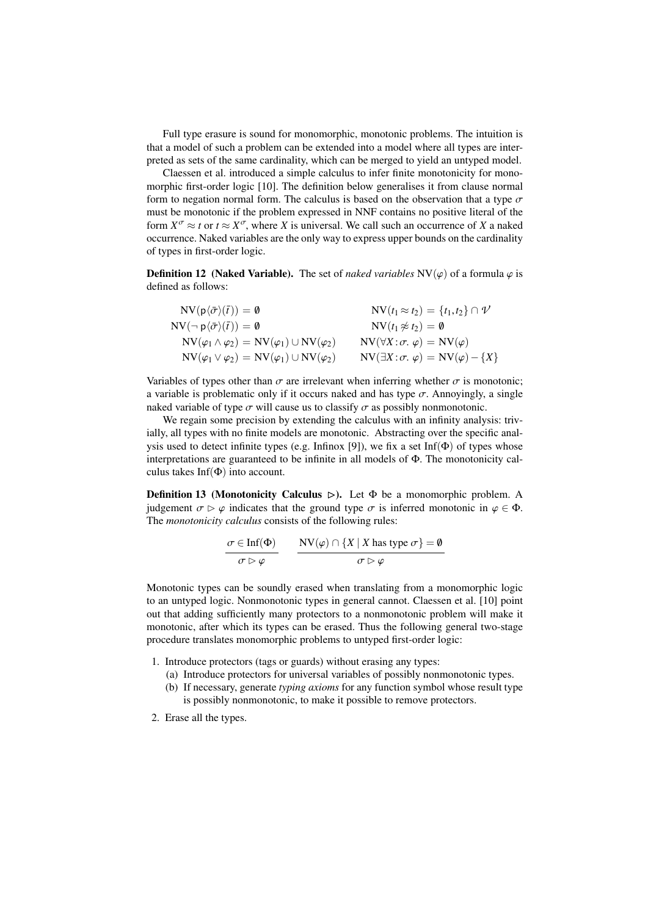Full type erasure is sound for monomorphic, monotonic problems. The intuition is that a model of such a problem can be extended into a model where all types are interpreted as sets of the same cardinality, which can be merged to yield an untyped model.

Claessen et al. introduced a simple calculus to infer finite monotonicity for monomorphic first-order logic [\[10\]](#page-14-2). The definition below generalises it from clause normal form to negation normal form. The calculus is based on the observation that a type  $\sigma$ must be monotonic if the problem expressed in NNF contains no positive literal of the form  $X^{\sigma} \approx t$  or  $t \approx X^{\sigma}$ , where *X* is universal. We call such an occurrence of *X* a naked occurrence. Naked variables are the only way to express upper bounds on the cardinality of types in first-order logic.

**Definition 12** (Naked Variable). The set of *naked variables*  $NV(\varphi)$  of a formula  $\varphi$  is defined as follows:

| $NV(p\langle\bar{\sigma}\rangle(\bar{t}))=\emptyset$                | $\text{NV}(t_1 \approx t_2) = \{t_1, t_2\} \cap \mathcal{V}$ |
|---------------------------------------------------------------------|--------------------------------------------------------------|
| $NV(\neg p\langle\bar{\sigma}\rangle(\bar{t}))=\emptyset$           | $NV(t_1 \not\approx t_2) = \emptyset$                        |
| $NV(\varphi_1 \wedge \varphi_2) = NV(\varphi_1) \cup NV(\varphi_2)$ | $NV(\forall X:\sigma, \varphi) = NV(\varphi)$                |
| $NV(\varphi_1 \vee \varphi_2) = NV(\varphi_1) \cup NV(\varphi_2)$   | $NV(\exists X:\sigma, \varphi) = NV(\varphi) - \{X\}$        |
|                                                                     |                                                              |

Variables of types other than  $\sigma$  are irrelevant when inferring whether  $\sigma$  is monotonic; a variable is problematic only if it occurs naked and has type  $\sigma$ . Annoyingly, a single naked variable of type  $\sigma$  will cause us to classify  $\sigma$  as possibly nonmonotonic.

We regain some precision by extending the calculus with an infinity analysis: trivially, all types with no finite models are monotonic. Abstracting over the specific anal-ysis used to detect infinite types (e.g. Infinox [\[9\]](#page-14-15)), we fix a set Inf( $\Phi$ ) of types whose interpretations are guaranteed to be infinite in all models of Φ. The monotonicity calculus takes  $Inf(\Phi)$  into account.

**Definition 13 (Monotonicity Calculus**  $\triangleright$ **).** Let  $\Phi$  be a monomorphic problem. A judgement  $\sigma \triangleright \varphi$  indicates that the ground type  $\sigma$  is inferred monotonic in  $\varphi \in \Phi$ . The *monotonicity calculus* consists of the following rules:

$$
\frac{\sigma \in \text{Inf}(\Phi)}{\sigma \triangleright \varphi} \qquad \frac{\text{NV}(\varphi) \cap \{X \mid X \text{ has type } \sigma\} = \emptyset}{\sigma \triangleright \varphi}
$$

Monotonic types can be soundly erased when translating from a monomorphic logic to an untyped logic. Nonmonotonic types in general cannot. Claessen et al. [\[10\]](#page-14-2) point out that adding sufficiently many protectors to a nonmonotonic problem will make it monotonic, after which its types can be erased. Thus the following general two-stage procedure translates monomorphic problems to untyped first-order logic:

- 1. Introduce protectors (tags or guards) without erasing any types:
	- (a) Introduce protectors for universal variables of possibly nonmonotonic types.
	- (b) If necessary, generate *typing axioms* for any function symbol whose result type is possibly nonmonotonic, to make it possible to remove protectors.
- 2. Erase all the types.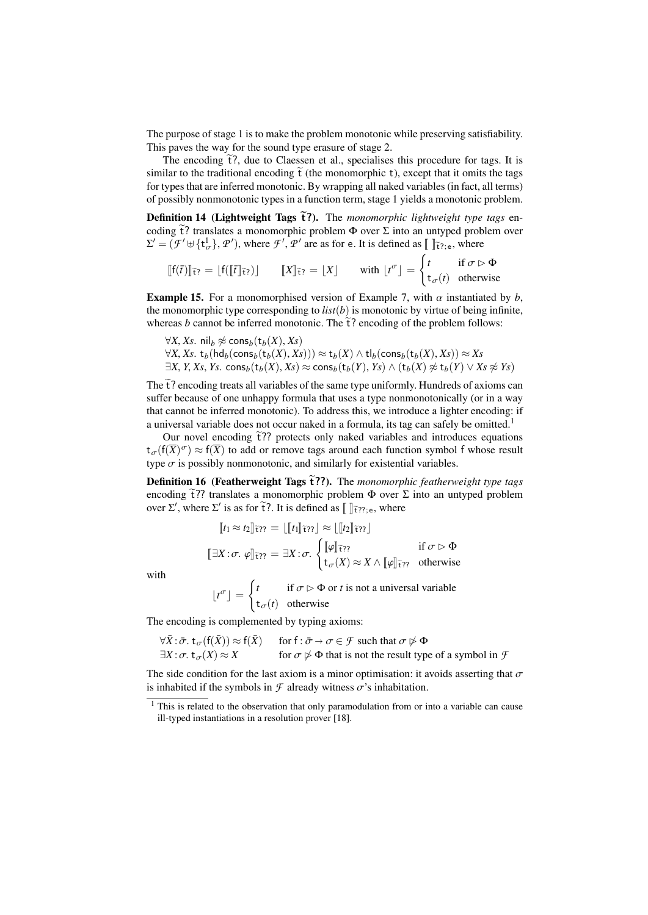The purpose of stage 1 is to make the problem monotonic while preserving satisfiability. This paves the way for the sound type erasure of stage 2.

The encoding  $\tilde{t}$ ?, due to Claessen et al., specialises this procedure for tags. It is similar to the traditional encoding  $\tilde{t}$  (the monomorphic t), except that it omits the tags for types that are inferred monotonic. By wrapping all naked variables (in fact, all terms) of possibly nonmonotonic types in a function term, stage 1 yields a monotonic problem.

Definition 14 (Lightweight Tags  $\tilde{t}$ ?). The *monomorphic lightweight type tags* encoding  $\tilde{t}$ ? translates a monomorphic problem  $\Phi$  over  $\Sigma$  into an untyped problem over  $\Sigma' = (\mathcal{F}' \cup \{t^1_{\sigma}\}, \mathcal{P}')$ , where  $\mathcal{F}', \mathcal{P}'$  are as for e. It is defined as  $\llbracket \ \rrbracket_{\tilde{\tau}^2; e}$ , where

$$
\llbracket f(\bar{t}) \rrbracket_{\tilde{\tau}?} = \lfloor f(\llbracket \bar{t} \rrbracket_{\tilde{\tau}?}) \rfloor \qquad \llbracket X \rrbracket_{\tilde{\tau}?} = \lfloor X \rfloor \qquad \text{with } \lfloor t^{\sigma} \rfloor = \begin{cases} t & \text{if } \sigma \triangleright \Phi \\ t_{\sigma}(t) & \text{otherwise} \end{cases}
$$

<span id="page-6-1"></span>**Example 15.** For a monomorphised version of Example [7,](#page-3-0) with  $\alpha$  instantiated by  $b$ , the monomorphic type corresponding to  $list(b)$  is monotonic by virtue of being infinite, whereas *b* cannot be inferred monotonic. The  $\tilde{t}$ ? encoding of the problem follows:

 $\forall X, Xs$ . nil<sub>b</sub> ≉ cons<sub>b</sub>(t<sub>b</sub>(*X*), *Xs*)

 $\forall X, Xs.$  t<sub>*b*</sub>(hd<sub>*b*</sub>(cons<sub>*b*</sub>(t<sub>*b*</sub>(*X*), *Xs*))) ≈ t<sub>*b*</sub>(*X*) ∧ tl<sub>*b*</sub>(cons<sub>*b*</sub>(t<sub>*b*</sub>(*X*), *Xs*)) ≈ *Xs* <sup>∃</sup>*X*, *<sup>Y</sup>*, *Xs*, *Ys*. cons*b*(t*b*(*X*), *Xs*) <sup>≈</sup> cons*b*(t*b*(*Y*), *Ys*) <sup>∧</sup> (t*b*(*X*) 6≈ <sup>t</sup>*b*(*Y*) <sup>∨</sup> *Xs* 6≈ *Ys*)

The  $\tilde{t}$ ? encoding treats all variables of the same type uniformly. Hundreds of axioms can suffer because of one unhappy formula that uses a type nonmonotonically (or in a way that cannot be inferred monotonic). To address this, we introduce a lighter encoding: if a universal variable does not occur naked in a formula, its tag can safely be omitted.<sup>[1](#page-6-0)</sup>

Our novel encoding  $\tilde{t}$ ?? protects only naked variables and introduces equations  $t_{\sigma}(f(\overline{X})^{\sigma}) \approx f(\overline{X})$  to add or remove tags around each function symbol f whose result type  $\sigma$  is possibly nonmonotonic, and similarly for existential variables.

Definition 16 (Featherweight Tags  $\tilde{\tau}$ ??). The *monomorphic featherweight type tags* encoding  $\tilde{t}$ ?? translates a monomorphic problem  $\Phi$  over  $\Sigma$  into an untyped problem over  $\Sigma'$ , where  $\Sigma'$  is as for  $\tilde{t}$ ?. It is defined as  $\llbracket \; \; \rVert_{\tilde{t}77;e}$ , where

$$
\llbracket t_1 \approx t_2 \rrbracket \tilde{\tau}_\mathcal{H} = \llbracket \llbracket t_1 \rrbracket \tilde{\tau}_\mathcal{H} \rrbracket \approx \llbracket \llbracket t_2 \rrbracket \tilde{\tau}_\mathcal{H} \rrbracket
$$
\n
$$
\llbracket \exists X : \sigma. \varphi \rrbracket \tilde{\tau}_\mathcal{H} = \exists X : \sigma. \begin{cases} \llbracket \varphi \rrbracket \tilde{\tau}_\mathcal{H} & \text{if } \sigma \rhd \Phi \\ \mathbf{t}_\sigma(X) \approx X \wedge \llbracket \varphi \rrbracket \tilde{\tau}_\mathcal{H} & \text{otherwise} \end{cases}
$$

with

$$
\lfloor t^{\sigma} \rfloor = \begin{cases} t & \text{if } \sigma \rhd \Phi \text{ or } t \text{ is not a universal variable} \\ t_{\sigma}(t) & \text{otherwise} \end{cases}
$$

The encoding is complemented by typing axioms:

 $\forall \bar{X} : \bar{\sigma} \cdot t_{\sigma}(f(\bar{X})) \approx f(\bar{X})$  for  $f : \bar{\sigma} \to \sigma \in \mathcal{F}$  such that  $\sigma \not\rhd \Phi$ <br> $\exists X : \sigma \cdot t_{\sigma}(X) \approx X$  for  $\sigma \not\rhd \Phi$  that is not the result typ  $\text{for } \sigma \not\triangleright \Phi \text{ that is not the result type of a symbol in } \mathcal{F}$ 

The side condition for the last axiom is a minor optimisation: it avoids asserting that  $\sigma$ is inhabited if the symbols in  $\mathcal F$  already witness  $\sigma$ 's inhabitation.

<span id="page-6-0"></span><sup>&</sup>lt;sup>1</sup> This is related to the observation that only paramodulation from or into a variable can cause ill-typed instantiations in a resolution prover [\[18\]](#page-14-8).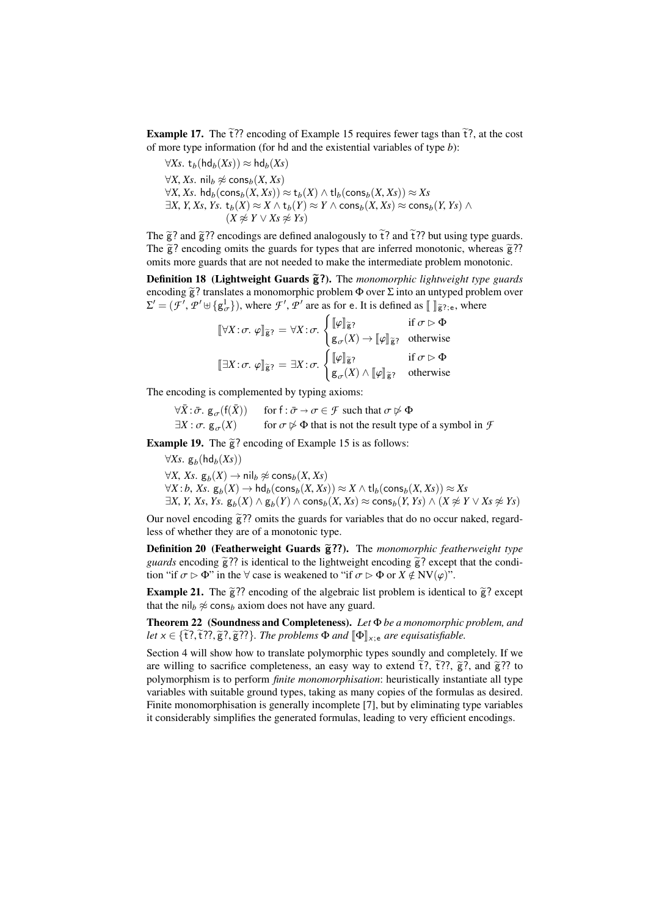**Example 17.** The  $\tilde{t}$ ?? encoding of Example [15](#page-6-1) requires fewer tags than  $\tilde{t}$ ?, at the cost of more type information (for hd and the existential variables of type *b*):

 $∀Xs. t<sub>b</sub>(hd<sub>b</sub>(Xs)) ≈ hd<sub>b</sub>(Xs)$ 

 $\forall X, Xs$ . nil<sub>b</sub> ≉ cons<sub>b</sub>(*X*, *Xs*) <sup>∀</sup>*X*, *Xs*. hd*b*(cons*b*(*X*, *Xs*)) <sup>≈</sup> <sup>t</sup>*b*(*X*) <sup>∧</sup> tl*b*(cons*b*(*X*, *Xs*)) <sup>≈</sup> *Xs*

<sup>∃</sup>*X*, *<sup>Y</sup>*, *Xs*, *Ys*. <sup>t</sup>*b*(*X*) <sup>≈</sup> *<sup>X</sup>* <sup>∧</sup> <sup>t</sup>*b*(*Y*) <sup>≈</sup> *<sup>Y</sup>* <sup>∧</sup> cons*b*(*X*, *Xs*) <sup>≈</sup> cons*b*(*Y*, *Ys*) <sup>∧</sup>  $(X \not\approx Y \vee X_s \not\approx Y_s)$ 

The  $\tilde{g}$ ? and  $\tilde{g}$ ?? encodings are defined analogously to  $\tilde{t}$ ? and  $\tilde{t}$ ?? but using type guards. The  $\tilde{g}$ ? encoding omits the guards for types that are inferred monotonic, whereas  $\tilde{g}$ ?? omits more guards that are not needed to make the intermediate problem monotonic.

Definition 18 (Lightweight Guards  $\tilde{g}$ ?). The *monomorphic lightweight type guards* encoding  $\tilde{g}$ ? translates a monomorphic problem  $\Phi$  over  $\Sigma$  into an untyped problem over  $\Sigma' = (\mathcal{F}', \mathcal{P}' \oplus \{g_{\sigma}^1\})$ , where  $\mathcal{F}', \mathcal{P}'$  are as for e. It is defined as  $[\![\ ]\mathbf{g}_?]$ ;e, where

$$
[\![\forall X \,:\, \sigma \,:\, \varphi]\!]_{\widetilde{\mathbf{g}}?} = \forall X \,:\, \sigma \cdot \begin{cases} [\![\varphi]\!]_{\widetilde{\mathbf{g}}?} & \text{if } \sigma \vartriangleright \Phi \\ \mathbf{g}_{\sigma}(X) \to [\![\varphi]\!]_{\widetilde{\mathbf{g}}?} & \text{otherwise} \end{cases}
$$
\n
$$
[\![\exists X \,:\, \sigma \,:\, \varphi]\!]_{\widetilde{\mathbf{g}}?} = \exists X \,:\, \sigma \cdot \begin{cases} [\![\varphi]\!]_{\widetilde{\mathbf{g}}?} & \text{if } \sigma \vartriangleright \Phi \\ \mathbf{g}_{\sigma}(X) \wedge [\![\varphi]\!]_{\widetilde{\mathbf{g}}?} & \text{otherwise} \end{cases}
$$

The encoding is complemented by typing axioms:

 $\forall \bar{X} : \bar{\sigma}$ .  $g_{\sigma}(f(\bar{X}))$  for  $f : \bar{\sigma} \to \sigma \in \mathcal{F}$  such that  $\sigma \not\rhd \Phi$ <br> $\exists X : \sigma$ .  $g_{\sigma}(X)$  for  $\sigma \not\rhd \Phi$  that is not the result typ  $\text{for } \sigma \not\triangleright \Phi \text{ that is not the result type of a symbol in } \mathcal{F}$ 

Example 19. The  $\tilde{g}$ ? encoding of Example [15](#page-6-1) is as follows:

<sup>∀</sup>*Xs*. <sup>g</sup>*<sup>b</sup>* (hd*b*(*Xs*))  $\forall X, Xs. g_b(X) \rightarrow \mathsf{nil}_b \not\approx \mathsf{cons}_b(X, Xs)$ <br>  $\forall X : b \ Xs \ g_a(X) \rightarrow \mathsf{hd}_b(\mathsf{cons}_b(X, Xs))$  $\forall X : b, Xs.$   $g_b(X) \rightarrow hd_b(\text{cons}_b(X, Xs)) \approx X \wedge tl_b(\text{cons}_b(X, Xs)) \approx Xs$ <br> $\exists X \; Y \; Xs \; Ys \; \sigma \cdot (X) \wedge \sigma \cdot (Y) \wedge \text{cons}_b(X, Xs) \approx \text{cons}_b(Y, Ys) \wedge (X \not\approx Ys)$  $\exists X, Y, X_s, Y_s.$   $\mathbf{g}_b(X) \land \mathbf{g}_b(Y) \land \text{cons}_b(X, X_s) \approx \text{cons}_b(Y, Y_s) \land (X \not\approx Y \lor X_s \not\approx Y_s)$ 

Our novel encoding  $\tilde{g}$ ?? omits the guards for variables that do no occur naked, regardless of whether they are of a monotonic type.

Definition 20 (Featherweight Guards  $\tilde{g}$ ??). The *monomorphic featherweight type guards* encoding  $\tilde{g}$ ?? is identical to the lightweight encoding  $\tilde{g}$ ? except that the condition "if  $\sigma \triangleright \Phi$ " in the  $\forall$  case is weakened to "if  $\sigma \triangleright \Phi$  or  $X \notin NV(\varphi)$ ".

**Example 21.** The  $\tilde{g}$ ?? encoding of the algebraic list problem is identical to  $\tilde{g}$ ? except that the nil<sub>b</sub>  $\approx$  cons<sub>b</sub> axiom does not have any guard.

Theorem 22 (Soundness and Completeness). *Let* Φ *be a monomorphic problem, and let*  $x \in {\tilde{\tau}}$ ?,  $\tilde{\tau}$ ??,  $\tilde{g}$ ???}. The problems  $\Phi$  *and*  $\Phi$ <sub>*x*:e</sub> *are equisatisfiable.* 

Section [4](#page-8-0) will show how to translate polymorphic types soundly and completely. If we are willing to sacrifice completeness, an easy way to extend  $\tilde{t}$ ?,  $\tilde{t}$ ??,  $\tilde{g}$ ?, and  $\tilde{g}$ ?? to polymorphism is to perform *finite monomorphisation*: heuristically instantiate all type variables with suitable ground types, taking as many copies of the formulas as desired. Finite monomorphisation is generally incomplete [\[7\]](#page-14-12), but by eliminating type variables it considerably simplifies the generated formulas, leading to very efficient encodings.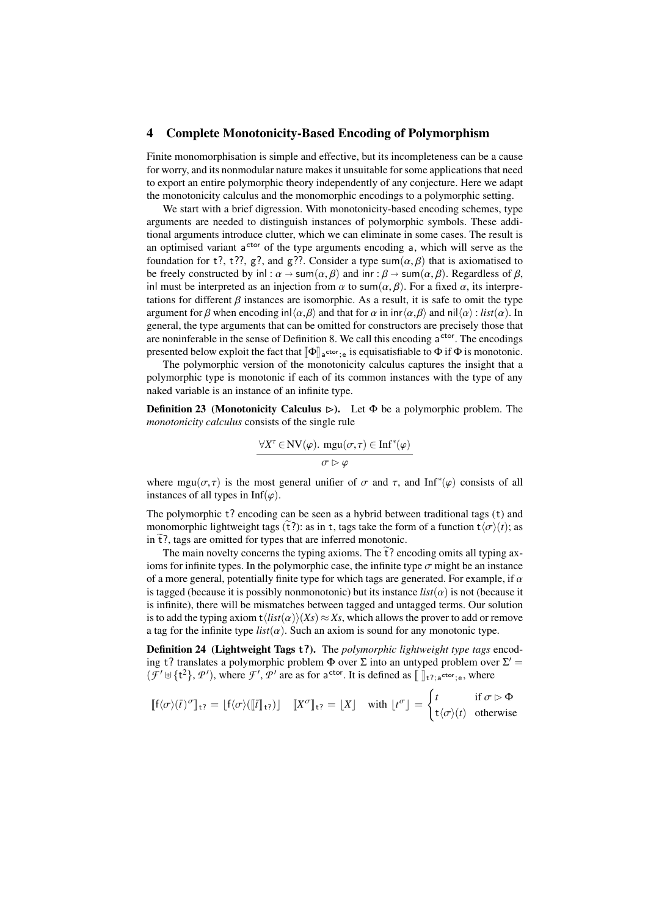#### <span id="page-8-0"></span>4 Complete Monotonicity-Based Encoding of Polymorphism

Finite monomorphisation is simple and effective, but its incompleteness can be a cause for worry, and its nonmodular nature makes it unsuitable for some applications that need to export an entire polymorphic theory independently of any conjecture. Here we adapt the monotonicity calculus and the monomorphic encodings to a polymorphic setting.

We start with a brief digression. With monotonicity-based encoding schemes, type arguments are needed to distinguish instances of polymorphic symbols. These additional arguments introduce clutter, which we can eliminate in some cases. The result is an optimised variant a<sup>ctor</sup> of the type arguments encoding a, which will serve as the foundation for t?, t??, g?, and g??. Consider a type sum( $\alpha$ ,  $\beta$ ) that is axiomatised to be freely constructed by inl :  $\alpha \to \text{sum}(\alpha, \beta)$  and inr :  $\beta \to \text{sum}(\alpha, \beta)$ . Regardless of  $\beta$ , inl must be interpreted as an injection from  $\alpha$  to sum( $\alpha$ ,  $\beta$ ). For a fixed  $\alpha$ , its interpretations for different  $\beta$  instances are isomorphic. As a result, it is safe to omit the type argument for β when encoding  $\text{inl}\langle\alpha,\beta\rangle$  and that for  $\alpha$  in  $\text{inr}\langle\alpha,\beta\rangle$  and  $\text{inl}\langle\alpha\rangle$ : *list*( $\alpha$ ). In general, the type arguments that can be omitted for constructors are precisely those that are noninferable in the sense of Definition [8.](#page-3-1) We call this encoding a<sup>ctor</sup>. The encodings presented below exploit the fact that  $[\![\Phi]\!]_a$ <sup>-tor</sup>;e is equisatisfiable to  $\Phi$  if  $\Phi$  is monotonic.<br>The polymorphic version of the monotonicity coloulus contures the insight that a

The polymorphic version of the monotonicity calculus captures the insight that a polymorphic type is monotonic if each of its common instances with the type of any naked variable is an instance of an infinite type.

**Definition 23** (Monotonicity Calculus  $\triangleright$ ). Let  $\Phi$  be a polymorphic problem. The *monotonicity calculus* consists of the single rule

$$
\forall X^{\tau} \in \text{NV}(\varphi). \text{ mgu}(\sigma, \tau) \in \text{Inf}^*(\varphi)
$$

$$
\sigma \vartriangleright \varphi
$$

where  $mgu(\sigma, \tau)$  is the most general unifier of  $\sigma$  and  $\tau$ , and Inf<sup>\*</sup>( $\varphi$ ) consists of all instances of all types in Inf<sup>( $\varphi$ </sup>) instances of all types in Inf( $\varphi$ ).

The polymorphic t? encoding can be seen as a hybrid between traditional tags (t) and monomorphic lightweight tags ( $\tilde{t}$ ?): as in t, tags take the form of a function  $t\langle\sigma\rangle(t)$ ; as in  $\tilde{t}$ ?, tags are omitted for types that are inferred monotonic.

The main novelty concerns the typing axioms. The  $\tilde{t}$ ? encoding omits all typing axioms for infinite types. In the polymorphic case, the infinite type  $\sigma$  might be an instance of a more general, potentially finite type for which tags are generated. For example, if  $\alpha$ is tagged (because it is possibly nonmonotonic) but its instance  $list(\alpha)$  is not (because it is infinite), there will be mismatches between tagged and untagged terms. Our solution is to add the typing axiom  $t\langle list(\alpha)\rangle(X_s) \approx X_s$ , which allows the prover to add or remove a tag for the infinite type  $list(\alpha)$ . Such an axiom is sound for any monotonic type.

Definition 24 (Lightweight Tags t?). The *polymorphic lightweight type tags* encoding t? translates a polymorphic problem  $\Phi$  over  $\Sigma$  into an untyped problem over  $\Sigma'$  =  $(\mathcal{F}' \cup \{t^2\}, \mathcal{P}')$ , where  $\mathcal{F}', \mathcal{P}'$  are as for a<sup>ctor</sup>. It is defined as  $[\ ]_{t^2; \, a^{\text{ctor}}; \, e}$ , where

$$
[\![f\langle\sigma\rangle(\bar{t})^\sigma]\!]_{\mathsf{t}?} = [f\langle\sigma\rangle([\![\bar{t}]\!]_{\mathsf{t}?})] \quad [\![X^\sigma]\!]_{\mathsf{t}?} = [X] \quad \text{with } \lfloor t^\sigma \rfloor = \begin{cases} t & \text{if } \sigma \triangleright \Phi \\ \mathsf{t}\langle\sigma\rangle(t) & \text{otherwise} \end{cases}
$$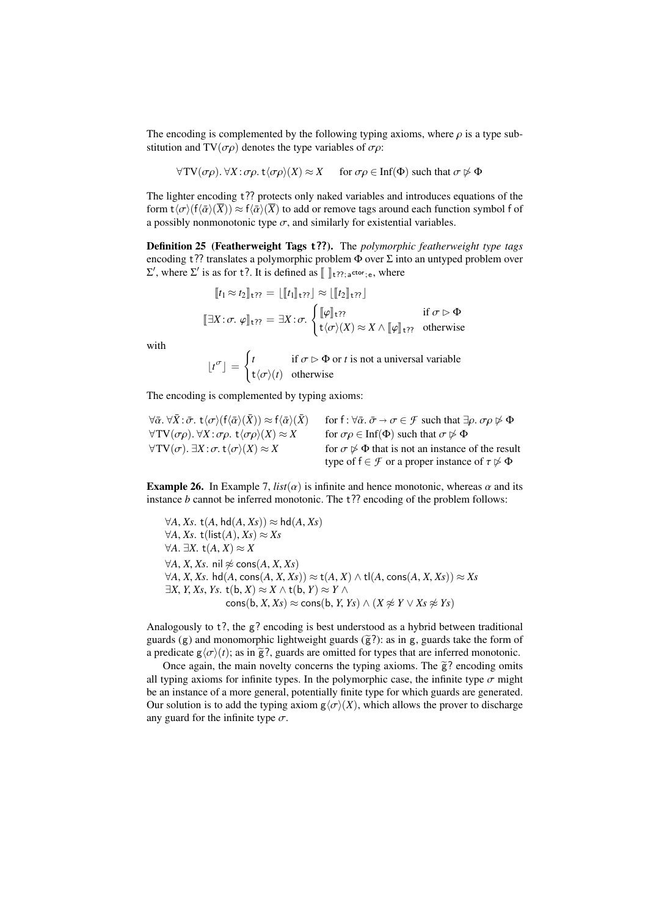The encoding is complemented by the following typing axioms, where  $\rho$  is a type substitution and TV( $\sigma \rho$ ) denotes the type variables of  $\sigma \rho$ :

$$
\forall TV(\sigma\rho). \ \forall X:\sigma\rho.\ t\langle\sigma\rho\rangle(X)\approx X \quad \text{ for } \sigma\rho \in \text{Inf}(\Phi) \text{ such that } \sigma \not\rhd \Phi
$$

The lighter encoding t?? protects only naked variables and introduces equations of the form  $t\langle\sigma\rangle(f\langle\bar{\alpha}\rangle(\overline{X})) \approx f\langle\bar{\alpha}\rangle(\overline{X})$  to add or remove tags around each function symbol f of a possibly nonmonotonic type  $\sigma$ , and similarly for existential variables.

Definition 25 (Featherweight Tags t??). The *polymorphic featherweight type tags* encoding t?? translates a polymorphic problem  $\Phi$  over  $\Sigma$  into an untyped problem over  $\Sigma'$ , where  $\Sigma'$  is as for t?. It is defined as  $\llbracket \; \rrbracket_{\text{t}?^;a^{\text{ctor}};e}$ , where

$$
\begin{aligned}\n\llbracket t_1 \approx t_2 \rrbracket_{\mathsf{t}} & \gamma = \lfloor \llbracket t_1 \rrbracket_{\mathsf{t}} & \gamma \rfloor \approx \lfloor \llbracket t_2 \rrbracket_{\mathsf{t}} & \gamma \rfloor \\
\llbracket \exists X : \sigma. \varphi \rrbracket_{\mathsf{t}} & \gamma = \exists X : \sigma. \begin{cases}\n\llbracket \varphi \rrbracket_{\mathsf{t}} & \gamma \\
\mathsf{t} \langle \sigma \rangle(X) \approx X \land \llbracket \varphi \rrbracket_{\mathsf{t}} & \gamma \end{cases} \text{ if } \sigma \triangleright \Phi\n\end{aligned}
$$

with

$$
\lfloor t^{\sigma} \rfloor = \begin{cases} t & \text{if } \sigma \rhd \Phi \text{ or } t \text{ is not a universal variable} \\ t \langle \sigma \rangle(t) & \text{otherwise} \end{cases}
$$

The encoding is complemented by typing axioms:

| $\forall \bar{\alpha} \ldotp \forall \bar{X} \ldotp \bar{\sigma} \ldotp t \langle \sigma \rangle (f \langle \bar{\alpha} \rangle (\bar{X})) \approx f \langle \bar{\alpha} \rangle (\bar{X})$ | for $f: \forall \bar{\alpha} \ldotp \bar{\sigma} \rightarrow \sigma \in \mathcal{F}$ such that $\exists \rho \ldotp \sigma \rho \not\triangleright \Phi$ |
|-----------------------------------------------------------------------------------------------------------------------------------------------------------------------------------------------|----------------------------------------------------------------------------------------------------------------------------------------------------------|
| $\forall TV(\sigma\rho)$ . $\forall X:\sigma\rho$ . $t\langle\sigma\rho\rangle(X) \approx X$                                                                                                  | for $\sigma \rho \in \text{Inf}(\Phi)$ such that $\sigma \not\triangleright \Phi$                                                                        |
| $\forall TV(\sigma)$ . $\exists X:\sigma \cdot t \langle \sigma \rangle(X) \approx X$                                                                                                         | for $\sigma \not\triangleright \Phi$ that is not an instance of the result                                                                               |
|                                                                                                                                                                                               | type of $f \in \mathcal{F}$ or a proper instance of $\tau \not\triangleright \Phi$                                                                       |

**Example 26.** In Example [7,](#page-3-0)  $list(\alpha)$  is infinite and hence monotonic, whereas  $\alpha$  and its instance *b* cannot be inferred monotonic. The t?? encoding of the problem follows:

 $∀A, Xs. t(A, hd(A, Xs)) ≈ hd(A, Xs)$  $∀A, Xs.$  t(list(*A*),  $Xs$ ) ≈  $Xs$  $\forall A. \exists X. t(A, X) \approx X$  $∀A, X, Xs.$  nil  $≠$  cons(*A*, *X*, *Xs*)  $\forall A, X, Xs.$  hd(*A*, cons(*A*, *X*, *Xs*)) ≈ t(*A*, *X*) ∧ tl(*A*, cons(*A*, *X*, *Xs*)) ≈ *Xs*  $\exists X, Y, X_s, Y_s$ . t(b, *X*) ≈ *X* ∧ t(b, *Y*) ≈ *Y* ∧  $\cos(b, X, X_s) \approx \cos(b, Y, Y_s) \wedge (X \not\approx Y \vee X_s \not\approx Y_s)$ 

Analogously to t?, the g? encoding is best understood as a hybrid between traditional guards (g) and monomorphic lightweight guards ( $\tilde{g}$ ?): as in g, guards take the form of a predicate  $g\langle\sigma\rangle(t)$ ; as in  $\tilde{g}$ ?, guards are omitted for types that are inferred monotonic.

Once again, the main novelty concerns the typing axioms. The  $\tilde{g}$ ? encoding omits all typing axioms for infinite types. In the polymorphic case, the infinite type  $\sigma$  might be an instance of a more general, potentially finite type for which guards are generated. Our solution is to add the typing axiom  $g\langle\sigma\rangle(X)$ , which allows the prover to discharge any guard for the infinite type  $\sigma$ .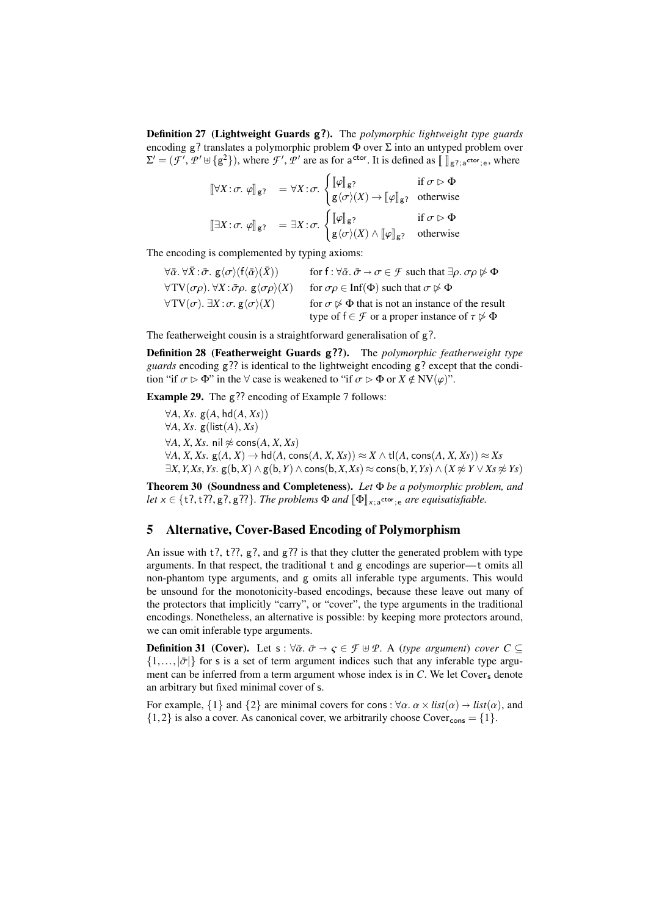Definition 27 (Lightweight Guards g?). The *polymorphic lightweight type guards* encoding g? translates a polymorphic problem  $\Phi$  over  $\Sigma$  into an untyped problem over  $\Sigma' = (\mathcal{F}', \mathcal{P}' \cup \{g^2\})$ , where  $\mathcal{F}', \mathcal{P}'$  are as for a<sup>ctor</sup>. It is defined as  $[\]_{g^2; a^{\text{ctor}}; e}$ , where

$$
\begin{aligned}\n\llbracket \forall X : \sigma. \varphi \rrbracket_{g?} &= \forall X : \sigma. \begin{cases}\n\llbracket \varphi \rrbracket_{g?} & \text{if } \sigma \triangleright \Phi \\
\llbracket \varphi \wedge \rangle(X) \rightarrow \llbracket \varphi \rrbracket_{g?} & \text{otherwise}\n\end{cases} \\
\llbracket \exists X : \sigma. \varphi \rrbracket_{g?} &= \exists X : \sigma. \begin{cases}\n\llbracket \varphi \rrbracket_{g?} & \text{if } \sigma \triangleright \Phi \\
\llbracket \varphi \rrbracket_{g?} & \text{if } \sigma \triangleright \Phi\n\end{cases}\n\end{aligned}
$$

The encoding is complemented by typing axioms:

| $\forall \bar{\alpha} \ldotp \forall \bar{X} \ldotp \bar{\sigma} \ldotp \mathsf{g} \langle \sigma \rangle (\mathsf{f} \langle \bar{\alpha} \rangle (\bar{X}))$ | for $f: \forall \bar{\alpha} \ldotp \bar{\sigma} \rightarrow \sigma \in \mathcal{F}$ such that $\exists \rho \ldotp \sigma \rho \not\triangleright \Phi$         |
|----------------------------------------------------------------------------------------------------------------------------------------------------------------|------------------------------------------------------------------------------------------------------------------------------------------------------------------|
| $\forall TV(\sigma\rho)$ . $\forall X:\bar{\sigma}\rho$ . $g\langle \sigma\rho\rangle(X)$                                                                      | for $\sigma \rho \in \text{Inf}(\Phi)$ such that $\sigma \not\triangleright \Phi$                                                                                |
| $\forall TV(\sigma)$ . $\exists X : \sigma$ . $g\langle \sigma \rangle(X)$                                                                                     | for $\sigma \not\triangleright \Phi$ that is not an instance of the result<br>type of $f \in \mathcal{F}$ or a proper instance of $\tau \not\triangleright \Phi$ |

The featherweight cousin is a straightforward generalisation of g?.

Definition 28 (Featherweight Guards g??). The *polymorphic featherweight type guards* encoding g?? is identical to the lightweight encoding g? except that the condition "if  $\sigma \triangleright \Phi$ " in the  $\forall$  case is weakened to "if  $\sigma \triangleright \Phi$  or  $X \notin NV(\varphi)$ ".

Example 29. The g?? encoding of Example [7](#page-3-0) follows:

<sup>∀</sup>*A*, *Xs*. <sup>g</sup>(*A*, hd(*A*, *Xs*)) <sup>∀</sup>*A*, *Xs*. <sup>g</sup>(list(*A*), *Xs*)  $∀A, X, Xs.$  nil  $≉$  cons(*A*, *X*, *Xs*)  $\forall A, X, Xs.$  g( $A, X$ ) → hd( $A$ , cons( $A, X, Xs$ )) ≈  $X \wedge$  tl( $A$ , cons( $A, X, Xs$ )) ≈  $Xs$  $\exists X, Y, Xs, Ys.$  g(b,*X*) ∧ g(b,*Y*) ∧ cons(b,*X*,*Xs*) ≈ cons(b, *Y*, *Ys*) ∧ (*X*  $\not\approx$  *Y* ∨ *Xs*  $\not\approx$  *Ys*)

Theorem 30 (Soundness and Completeness). *Let* Φ *be a polymorphic problem, and*  $let \times \in \{t?, t?, g?, g??\}$ . The problems  $\Phi$  and  $[\![\Phi]\!]_{\times; a}$ ctor<sub>;e</sub> are equisatisfiable.

### <span id="page-10-0"></span>5 Alternative, Cover-Based Encoding of Polymorphism

An issue with  $t$ ?,  $t$ ??,  $g$ ?, and  $g$ ?? is that they clutter the generated problem with type arguments. In that respect, the traditional t and g encodings are superior—t omits all non-phantom type arguments, and g omits all inferable type arguments. This would be unsound for the monotonicity-based encodings, because these leave out many of the protectors that implicitly "carry", or "cover", the type arguments in the traditional encodings. Nonetheless, an alternative is possible: by keeping more protectors around, we can omit inferable type arguments.

**Definition 31 (Cover).** Let  $s : \forall \bar{\alpha} \cdot \bar{\sigma} \rightarrow \varsigma \in \mathcal{F} \oplus \mathcal{P}$ . A (*type argument*) *cover*  $C \subseteq$  $\{1,\ldots,|\bar{\sigma}|\}$  for s is a set of term argument indices such that any inferable type argument can be inferred from a term argument whose index is in  $C$ . We let Cover, denote an arbitrary but fixed minimal cover of s.

For example,  $\{1\}$  and  $\{2\}$  are minimal covers for cons :  $\forall \alpha$ .  $\alpha \times list(\alpha) \rightarrow list(\alpha)$ , and  $\{1,2\}$  is also a cover. As canonical cover, we arbitrarily choose Cover<sub>cons</sub> =  $\{1\}$ .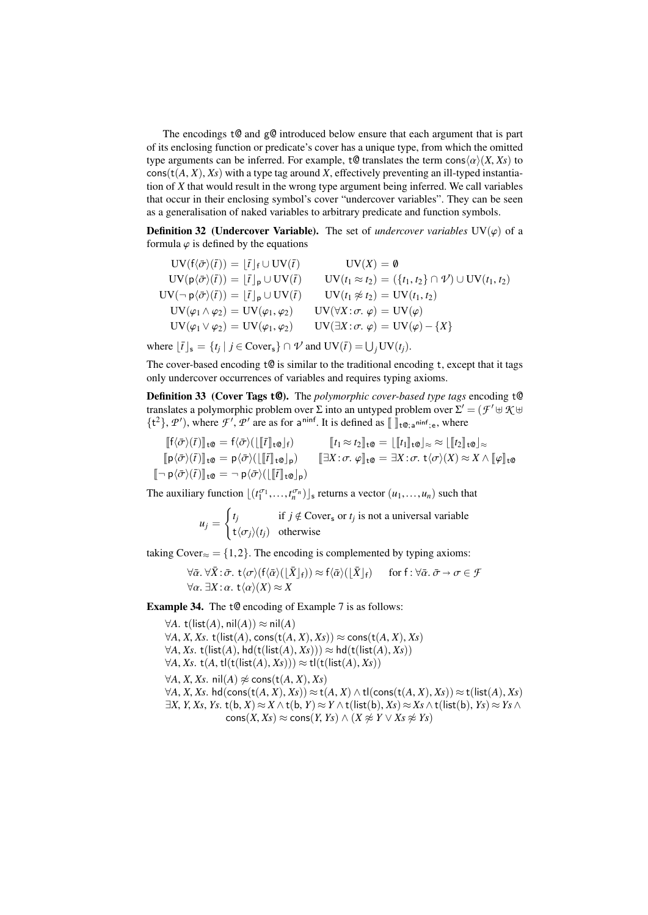The encodings  $t@$  and  $g@$  introduced below ensure that each argument that is part of its enclosing function or predicate's cover has a unique type, from which the omitted type arguments can be inferred. For example,  $\mathfrak{t} \mathfrak{Q}$  translates the term cons $\langle \alpha \rangle(X, X_s)$  to  $\cos(t(A, X), X_s)$  with a type tag around *X*, effectively preventing an ill-typed instantiation of *X* that would result in the wrong type argument being inferred. We call variables that occur in their enclosing symbol's cover "undercover variables". They can be seen as a generalisation of naked variables to arbitrary predicate and function symbols.

**Definition 32** (Undercover Variable). The set of *undercover variables*  $UV(\varphi)$  of a formula  $\varphi$  is defined by the equations

$$
UV(f\langle \bar{\sigma} \rangle(\bar{t})) = [\bar{t}]_f \cup UV(\bar{t})
$$
  
\n
$$
UV(\rho \langle \bar{\sigma} \rangle(\bar{t})) = [\bar{t}]_p \cup UV(\bar{t})
$$
  
\n
$$
UV(t_1 \approx t_2) = (\{t_1, t_2\} \cap \mathcal{V}) \cup UV(t_1, t_2)
$$
  
\n
$$
UV(\neg \rho \langle \bar{\sigma} \rangle(\bar{t})) = [\bar{t}]_p \cup UV(\bar{t})
$$
  
\n
$$
UV(t_1 \not\approx t_2) = UV(t_1, t_2)
$$
  
\n
$$
UV(\varphi_1 \wedge \varphi_2) = UV(\varphi_1, \varphi_2)
$$
  
\n
$$
UV(\forall X : \sigma, \varphi) = UV(\varphi)
$$
  
\n
$$
UV(\varphi_1 \vee \varphi_2) = UV(\varphi_1, \varphi_2)
$$
  
\n
$$
UV(\exists X : \sigma, \varphi) = UV(\varphi) - \{X\}
$$

where  $\lfloor \bar{t} \rfloor_s = \{ t_j \mid j \in \text{Cover}_s \} \cap \mathcal{V}$  and  $\text{UV}(\bar{t}) = \bigcup_j \text{UV}(t_j)$ .

The cover-based encoding  $t@$  is similar to the traditional encoding t, except that it tags only undercover occurrences of variables and requires typing axioms.

Definition 33 (Cover Tags t@). The *polymorphic cover-based type tags* encoding t@ translates a polymorphic problem over  $\Sigma$  into an untyped problem over  $\Sigma' = (\mathcal{F}' \uplus \mathcal{K} \uplus \mathcal{F}')$  $\{t^2\}$ , *P'*), where *F'*, *P'* are as for a<sup>ninf</sup>. It is defined as  $\llbracket \ \rrbracket_{t\mathcal{Q};a^{\text{minf}};e}$ , where

$$
\begin{aligned}\n[\![f(\bar{\sigma})(\bar{t})]\!]_{t\mathbf{0}} &= f(\bar{\sigma})(\llbracket [\![f]\!]_{t\mathbf{0}}]_{f}) & [\![t_{1} \approx t_{2}]\!]_{t\mathbf{0}} &= [\![[t_{1}]\!]_{t\mathbf{0}}]_{\approx} \approx [\![[t_{2}]\!]_{t\mathbf{0}}]_{\approx} \\
[\![p(\bar{\sigma})(\bar{t})]\!]_{t\mathbf{0}} &= p(\bar{\sigma})(\llbracket [\![\bar{t}]\!]_{t\mathbf{0}}]_{p}) & [\![\exists X:\sigma,\varphi]\!]_{t\mathbf{0}} &= \exists X:\sigma,\ t\langle\sigma\rangle(X) \approx X \wedge [\![\varphi]\!]_{t\mathbf{0}} \\
[\![\neg p(\bar{\sigma})(\bar{t})]\!]_{t\mathbf{0}} &= \neg p(\bar{\sigma})(\llbracket [\![\bar{t}]\!]_{t\mathbf{0}}]_{p})\n\end{aligned}
$$

The auxiliary function  $\lfloor (t_1^{\sigma_1},...,t_n^{\sigma_n}) \rfloor_s$  returns a vector  $(u_1,...,u_n)$  such that

$$
u_j = \begin{cases} t_j & \text{if } j \notin \text{Cover}_\mathsf{s} \text{ or } t_j \text{ is not a universal variable} \\ t \langle \sigma_j \rangle (t_j) & \text{otherwise} \end{cases}
$$

taking Cover≈ = {1,2}. The encoding is complemented by typing axioms:

$$
\forall \bar{\alpha}. \forall \bar{X}: \bar{\sigma}. t \langle \sigma \rangle (f \langle \bar{\alpha} \rangle (\lfloor \bar{X} \rfloor_f)) \approx f \langle \bar{\alpha} \rangle (\lfloor \bar{X} \rfloor_f) \quad \text{for } f: \forall \bar{\alpha}. \bar{\sigma} \to \sigma \in \mathcal{F}
$$
  

$$
\forall \alpha. \exists X: \alpha. t \langle \alpha \rangle (X) \approx X
$$

Example 34. The t@ encoding of Example [7](#page-3-0) is as follows:

 $∀A. t(list(A), nil(A)) ≈ nil(A)$  $∀A, X, Xs, t(list(A), cons(t(A, X), Xs)) ≈ cons(t(A, X), Xs)$  $∀A, Xs.$  t(list(*A*), hd(t(list(*A*), *Xs*))) ≈ hd(t(list(*A*), *Xs*))  $∀A, Xs. t(A, tI(t(list(A), Xs))) ≈ tI(t(list(A), Xs))$  $∀A, X, Xs.$  nil $(A)$   $\napprox$  cons(t $(A, X), Xs$ )  $\forall A, X, Xs.$  hd(cons(t(*A*, *X*), *Xs*)) ≈ t(*A*, *X*) ∧ tl(cons(t(*A*, *X*), *Xs*)) ≈ t(list(*A*), *Xs*) <sup>∃</sup>*X*, *<sup>Y</sup>*, *Xs*, *Ys*. <sup>t</sup>(b, *<sup>X</sup>*) <sup>≈</sup> *<sup>X</sup>* <sup>∧</sup> <sup>t</sup>(b, *<sup>Y</sup>*) <sup>≈</sup> *<sup>Y</sup>* <sup>∧</sup> <sup>t</sup>(list(b), *Xs*) <sup>≈</sup> *Xs* <sup>∧</sup> <sup>t</sup>(list(b), *Ys*) <sup>≈</sup> *Ys* <sup>∧</sup>  $\text{cons}(X, Xs) \approx \text{cons}(Y, Ys) \land (X \not\approx Y \lor Xs \not\approx Ys)$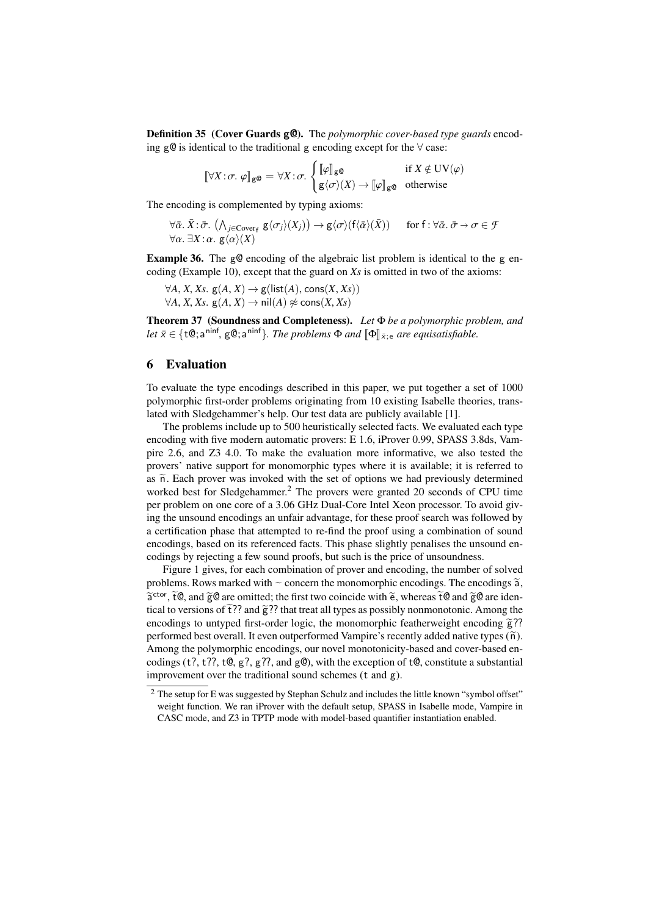Definition 35 (Cover Guards g@). The *polymorphic cover-based type guards* encoding g@ is identical to the traditional g encoding except for the  $\forall$  case:

$$
[\![\forall X \colon \sigma. \varphi]\!]_{\mathsf{g}\mathsf{Q}} = \forall X \colon \sigma. \begin{cases} [\![\varphi]\!]_{\mathsf{g}\mathsf{Q}} & \text{if } X \notin \mathrm{UV}(\varphi) \\ \mathsf{g}\langle \sigma \rangle(X) \to [\![\varphi]\!]_{\mathsf{g}\mathsf{Q}} & \text{otherwise} \end{cases}
$$

The encoding is complemented by typing axioms:

$$
\forall \bar{\alpha}. \bar{X} : \bar{\sigma}. (\wedge_{j \in \text{Cover}_{f}} g\langle \sigma_{j} \rangle(X_{j})) \rightarrow g\langle \sigma \rangle(f\langle \bar{\alpha} \rangle(\bar{X})) \quad \text{for } f : \forall \bar{\alpha}. \bar{\sigma} \rightarrow \sigma \in \mathcal{F}
$$
  

$$
\forall \alpha. \exists X : \alpha. g\langle \alpha \rangle(X)
$$

**Example 36.** The g@ encoding of the algebraic list problem is identical to the g encoding (Example [10\)](#page-3-2), except that the guard on *Xs* is omitted in two of the axioms:

 $∀A, X, Xs. g(A, X) → g(list(A), cons(X, Xs))$  $∀A, X, Xs. g(A, X) → nil(A) ∉ cons(X, Xs)$ 

Theorem 37 (Soundness and Completeness). *Let* Φ *be a polymorphic problem, and*  $let\ \bar{x} \in \{ \pm \mathbb{Q}; \mathsf{a}^{\text{minf}}, \, \mathsf{g}\mathbb{Q}; \mathsf{a}^{\text{minf}} \}$ . The problems  $\Phi$  and  $[\![ \Phi ]\!]_{\bar{x};\mathsf{e}}$  are equisatisfiable.

### <span id="page-12-0"></span>6 Evaluation

To evaluate the type encodings described in this paper, we put together a set of 1000 polymorphic first-order problems originating from 10 existing Isabelle theories, translated with Sledgehammer's help. Our test data are publicly available [\[1\]](#page-14-16).

The problems include up to 500 heuristically selected facts. We evaluated each type encoding with five modern automatic provers: E 1.6, iProver 0.99, SPASS 3.8ds, Vampire 2.6, and Z3 4.0. To make the evaluation more informative, we also tested the provers' native support for monomorphic types where it is available; it is referred to as  $\tilde{n}$ . Each prover was invoked with the set of options we had previously determined worked best for Sledgehammer.<sup>[2](#page-12-1)</sup> The provers were granted 20 seconds of CPU time per problem on one core of a 3.06 GHz Dual-Core Intel Xeon processor. To avoid giving the unsound encodings an unfair advantage, for these proof search was followed by a certification phase that attempted to re-find the proof using a combination of sound encodings, based on its referenced facts. This phase slightly penalises the unsound encodings by rejecting a few sound proofs, but such is the price of unsoundness.

Figure [1](#page-13-0) gives, for each combination of prover and encoding, the number of solved problems. Rows marked with  $\sim$  concern the monomorphic encodings. The encodings  $\tilde{a}$ ,  $\tilde{a}$  and  $\tilde{a}$  and  $\tilde{a}$  and  $\tilde{a}$  and  $\tilde{a}$  and  $\tilde{a}$  and  $\tilde{a}$  and  $\tilde{a}$  and  $\tilde{a}$  and  $\tilde{a}$  and  $\tilde{e}^{\text{ctor}}$ ,  $\tilde{t} \mathcal{Q}$ , and  $\tilde{g} \mathcal{Q}$  are omitted; the first two coincide with  $\tilde{e}$ , whereas  $\tilde{t} \mathcal{Q}$  and  $\tilde{g} \mathcal{Q}$  are identical to versions of  $\tilde{t}$   $\tilde{t}$ ? and  $\tilde{g}$ ?? that treat all tical to versions of  $\tilde{t}$ ?? and  $\tilde{g}$ ?? that treat all types as possibly nonmonotonic. Among the encodings to untyped first-order logic, the monomorphic featherweight encoding  $\tilde{g}$ ?? performed best overall. It even outperformed Vampire's recently added native types  $(\tilde{n})$ . Among the polymorphic encodings, our novel monotonicity-based and cover-based encodings (t?, t??, t $(0, g$ ?,  $g$ ??, and  $g$  $(0)$ , with the exception of t $(0, \text{constitute a substantial})$ improvement over the traditional sound schemes (t and g).

<span id="page-12-1"></span><sup>&</sup>lt;sup>2</sup> The setup for E was suggested by Stephan Schulz and includes the little known "symbol offset" weight function. We ran iProver with the default setup, SPASS in Isabelle mode, Vampire in CASC mode, and Z3 in TPTP mode with model-based quantifier instantiation enabled.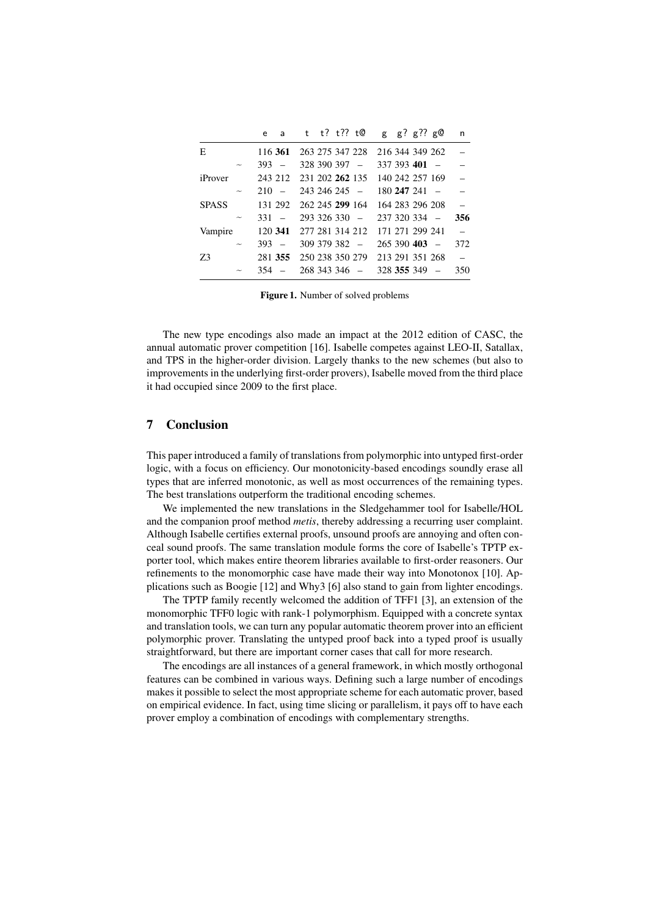|              | e   |                          | t | $t$ ? $t$ ?? $t$ @ |                 |  | g g? g?? g $\Theta$ |            | n              |
|--------------|-----|--------------------------|---|--------------------|-----------------|--|---------------------|------------|----------------|
| E            |     | 116 361                  |   | 263 275 347 228    |                 |  | 216 344 349 262     |            |                |
|              | 393 |                          |   | 328 390 397 -      |                 |  | $337,393,401$ -     |            |                |
| iProver      |     | 243 212                  |   |                    | 231 202 262 135 |  | 140 242 257 169     |            |                |
|              | 210 | $\overline{\phantom{a}}$ |   | $243\,246\,245$ -  |                 |  | $180247241 -$       |            |                |
| <b>SPASS</b> |     | 131 292                  |   | 262 245 299 164    |                 |  | 164 283 296 208     |            |                |
|              | 331 |                          |   | $293,326,330 -$    |                 |  | 237 320 334         | $\sim$ $-$ | 356            |
| Vampire      |     | 120 341                  |   |                    | 277 281 314 212 |  | 171 271 299 241     |            | $\overline{a}$ |
|              | 393 | $\sim$                   |   | 309 379 382 -      |                 |  | $265390403 -$       |            | 372            |
| Z3           |     | 281 355                  |   |                    | 250 238 350 279 |  | 213 291 351 268     |            | $\equiv$       |
|              | 354 |                          |   | $268343346 -$      |                 |  | $328$ 355 349 $-$   |            | 350            |
|              |     |                          |   |                    |                 |  |                     |            |                |

<span id="page-13-0"></span>Figure 1. Number of solved problems

The new type encodings also made an impact at the 2012 edition of CASC, the annual automatic prover competition [\[16\]](#page-14-17). Isabelle competes against LEO-II, Satallax, and TPS in the higher-order division. Largely thanks to the new schemes (but also to improvements in the underlying first-order provers), Isabelle moved from the third place it had occupied since 2009 to the first place.

## 7 Conclusion

This paper introduced a family of translations from polymorphic into untyped first-order logic, with a focus on efficiency. Our monotonicity-based encodings soundly erase all types that are inferred monotonic, as well as most occurrences of the remaining types. The best translations outperform the traditional encoding schemes.

We implemented the new translations in the Sledgehammer tool for Isabelle/HOL and the companion proof method *metis*, thereby addressing a recurring user complaint. Although Isabelle certifies external proofs, unsound proofs are annoying and often conceal sound proofs. The same translation module forms the core of Isabelle's TPTP exporter tool, which makes entire theorem libraries available to first-order reasoners. Our refinements to the monomorphic case have made their way into Monotonox [\[10\]](#page-14-2). Applications such as Boogie [\[12\]](#page-14-10) and Why3 [\[6\]](#page-14-11) also stand to gain from lighter encodings.

The TPTP family recently welcomed the addition of TFF1 [\[3\]](#page-14-3), an extension of the monomorphic TFF0 logic with rank-1 polymorphism. Equipped with a concrete syntax and translation tools, we can turn any popular automatic theorem prover into an efficient polymorphic prover. Translating the untyped proof back into a typed proof is usually straightforward, but there are important corner cases that call for more research.

The encodings are all instances of a general framework, in which mostly orthogonal features can be combined in various ways. Defining such a large number of encodings makes it possible to select the most appropriate scheme for each automatic prover, based on empirical evidence. In fact, using time slicing or parallelism, it pays off to have each prover employ a combination of encodings with complementary strengths.